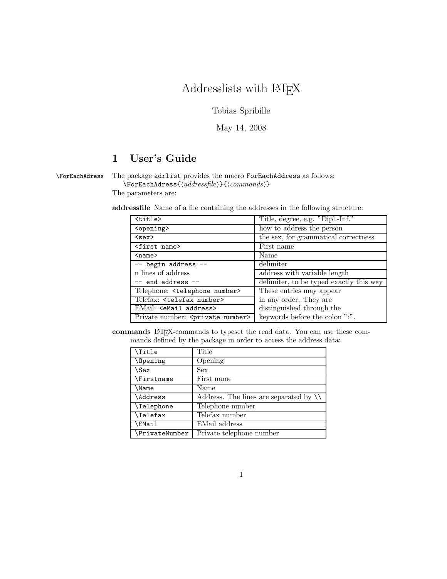# Addresslists with  $\rm \emph{IATEX}$

Tobias Spribille

May 14, 2008

# 1 User's Guide

# \ForEachAdress The package adrlist provides the macro ForEachAddress as follows:

 $\verb|\ForEachAdress| \verb|{| (addressfile) \verb|{| (commands) \verb|}$ 

The parameters are:

addressfile Name of a file containing the addresses in the following structure:

| <title></title>                               | Title, degree, e.g. "Dipl.-Inf."        |
|-----------------------------------------------|-----------------------------------------|
| <opening></opening>                           | how to address the person               |
| $<$ sex $>$                                   | the sex, for grammatical correctness    |
| <first name=""></first>                       | First name                              |
| $name$                                        | Name                                    |
| -- begin address --                           | delimiter                               |
| n lines of address                            | address with variable length            |
| $--$ end address $--$                         | delimiter, to be typed exactly this way |
| Telephone: <telephone number=""></telephone>  | These entries may appear                |
| Telefax: <telefax number=""></telefax>        | in any order. They are                  |
| EMail: <email address=""></email>             | distinguished through the               |
| Private number: <private number=""></private> | keywords before the colon ":".          |

commands L<sup>A</sup>TEX-commands to typeset the read data. You can use these commands defined by the package in order to access the address data:

| \Title            | Title                                                    |
|-------------------|----------------------------------------------------------|
| Opening           | Opening                                                  |
| \Sex              | <b>Sex</b>                                               |
| \Firstname        | First name                                               |
| <b>\Name</b>      | Name                                                     |
| <i>Address</i>    | Address. The lines are separated by $\setminus\setminus$ |
| <b>\Telephone</b> | Telephone number                                         |
| \Telefax          | Telefax number                                           |
| \EMail            | EMail address                                            |
| \PrivateNumber    | Private telephone number                                 |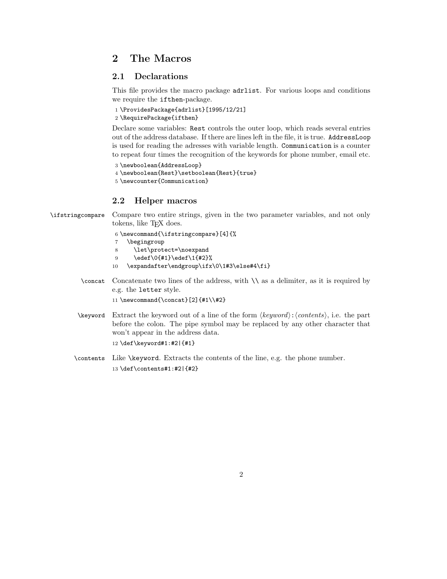## 2 The Macros

### 2.1 Declarations

This file provides the macro package adrlist. For various loops and conditions we require the ifthen-package.

```
1 \ProvidesPackage{adrlist}[1995/12/21]
2 \RequirePackage{ifthen}
```
Declare some variables: Rest controls the outer loop, which reads several entries out of the address database. If there are lines left in the file, it is true. AddressLoop is used for reading the adresses with variable length. Communication is a counter to repeat four times the recognition of the keywords for phone number, email etc.

```
3 \newboolean{AddressLoop}
4 \newboolean{Rest}\setboolean{Rest}{true}
```

```
5 \newcounter{Communication}
```
### 2.2 Helper macros

\ifstringcompare Compare two entire strings, given in the two parameter variables, and not only tokens, like T<sub>E</sub>X does.

```
6 \newcommand{\ifstringcompare}[4]{%
```
- 7 \begingroup
- 8 \let\protect=\noexpand
- 9 \edef\0{#1}\edef\1{#2}%
- 10 \expandafter\endgroup\ifx\0\1#3\else#4\fi}
- \concat Concatenate two lines of the address, with \\ as a delimiter, as it is required by e.g. the letter style.

```
11 \newcommand{\concat}[2]{#1\\#2}
```
- \keyword Extract the keyword out of a line of the form  $\langle keyword\rangle:\langle contents\rangle$ , i.e. the part before the colon. The pipe symbol may be replaced by any other character that won't appear in the address data. 12 \def\keyword#1:#2|{#1}
- \contents Like \keyword. Extracts the contents of the line, e.g. the phone number. 13 \def\contents#1:#2|{#2}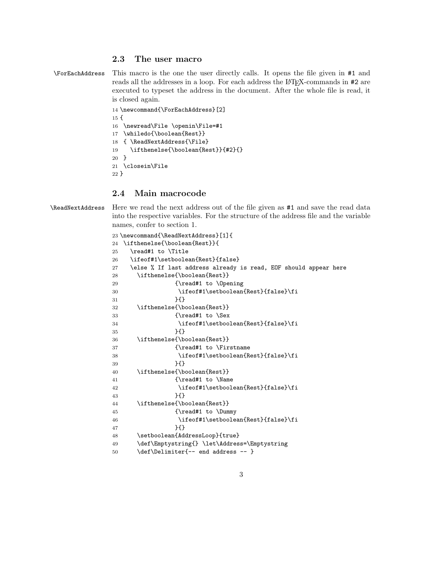#### 2.3 The user macro

```
\ForEachAddress This macro is the one the user directly calls. It opens the file given in #1 and
                  reads all the addresses in a loop. For each address the LAT<sub>EX</sub>-commands in #2 are
                  executed to typeset the address in the document. After the whole file is read, it
                  is closed again.
```

```
14 \newcommand{\ForEachAddress}[2]
15 {
16 \newread\File \openin\File=#1
17 \whiledo{\boolean{Rest}}
18 { \ReadNextAddress{\File}
19 \ifthenelse{\boolean{Rest}}{#2}{}
20 }
21 \closein\File
22 }
```
#### 2.4 Main macrocode

\ReadNextAddress Here we read the next address out of the file given as #1 and save the read data into the respective variables. For the structure of the address file and the variable names, confer to section 1.

```
23 \newcommand{\ReadNextAddress}[1]{
24 \ifthenelse{\boolean{Rest}}{
25 \read#1 to \Title
26 \ifeof#1\setboolean{Rest}{false}
27 \else % If last address already is read, EOF should appear here
28 \ifthenelse{\boolean{Rest}}
29 {\read#1 to \Opening
30 \ifeof#1\setboolean{Rest}{false}\fi
31 } }32 \ifthenelse{\boolean{Rest}}
33 {\read#1 to \Sex
34 \ifeof#1\setboolean{Rest}{false}\fi
35 }{}
36 \ifthenelse{\boolean{Rest}}
37 {\read#1 to \Firstname
38 \ifeof#1\setboolean{Rest}{false}\fi
39 }{}
40 \ifthenelse{\boolean{Rest}}
41 {\read#1 to \Name
42 \ifeof#1\setboolean{Rest}{false}\fi
43 }{}
44 \ifthenelse{\boolean{Rest}}
45 {\read#1 to \Dummy
46 \ifeof#1\setboolean{Rest}{false}\fi
47 }{}
48 \setboolean{AddressLoop}{true}
49 \def\Emptystring{} \let\Address=\Emptystring
50 \def\Delimiter{-- end address -- }
```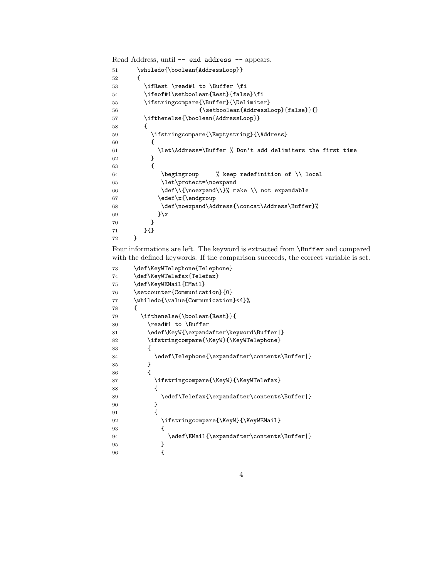Read Address, until -- end address -- appears.

```
51 \whiledo{\boolean{AddressLoop}}
52 {
53 \ifRest \read#1 to \Buffer \fi
54 \ifeof#1\setboolean{Rest}{false}\fi
55 \ifstringcompare{\Buffer}{\Delimiter}
56 {\setminus} {\setboolean{AddressLoop}{false}}{}
57 \ifthenelse{\boolean{AddressLoop}}
58 {
59 \ifstringcompare{\Emptystring}{\Address}
60 {
61 \let\Address=\Buffer % Don't add delimiters the first time
62 }
63 {
64 \begingroup % keep redefinition of \\ local
65 \let\protect=\noexpand
66 \def\\{\noexpand\\}% make \\ not expandable
67 \edef\x{\endgroup
68 \def\noexpand\Address{\concat\Address\Buffer}%
69    \} \x70 }
71 }{}
72 }
```
Four informations are left. The keyword is extracted from \Buffer and compared with the defined keywords. If the comparison succeeds, the correct variable is set.

```
73 \def\KeyWTelephone{Telephone}
74 \def\KeyWTelefax{Telefax}
75 \def\KeyWEMail{EMail}
76 \setcounter{Communication}{0}
77 \whiledo{\value{Communication}<4}%
78 {
79 \ifthenelse{\boolean{Rest}}{
80 \read#1 to \Buffer
81 \edef\KeyW{\expandafter\keyword\Buffer|}
82 \ifstringcompare{\KeyW}{\KeyWTelephone}
83 {
84 \edef\Telephone{\expandafter\contents\Buffer|}
85 }
86 {
87 \ifstringcompare{\KeyW}{\KeyWTelefax}
88 {
89 \edef\Telefax{\expandafter\contents\Buffer|}
90 }
91 {
92 \ifstringcompare{\KeyW}{\KeyWEMail}
93 {
94 \edef\EMail{\expandafter\contents\Buffer|}
95 }
96 {
```